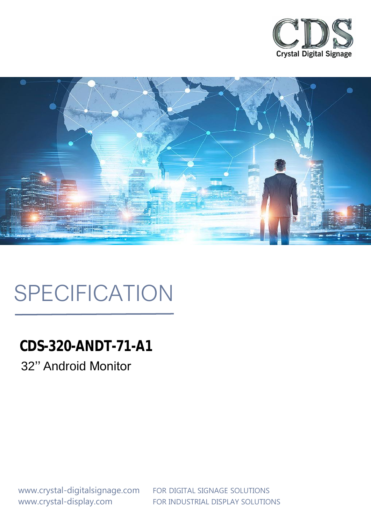



# SPECIFICATION

**CDS-320-ANDT-71-A1** 32'' Android Monitor

www.crystal-display.com FOR INDUSTRIAL DISPLAY SOLUTIONS www.crystal-digitalsignage.com FOR DIGITAL SIGNAGE SOLUTIONS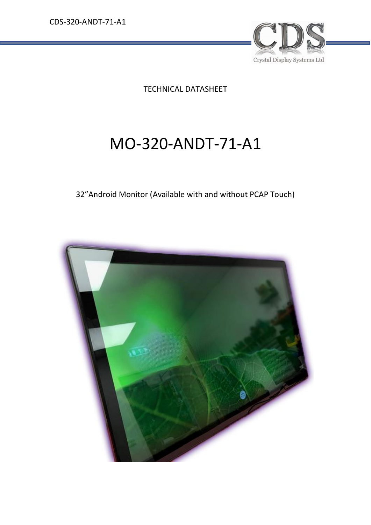

TECHNICAL DATASHEET

# MO-320-ANDT-71-A1

### 32"Android Monitor (Available with and without PCAP Touch)

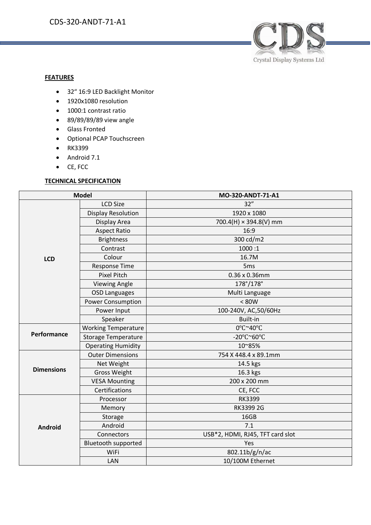

#### **FEATURES**

- 32" 16:9 LED Backlight Monitor
- 1920x1080 resolution
- 1000:1 contrast ratio
- 89/89/89/89 view angle
- Glass Fronted
- Optional PCAP Touchscreen
- RK3399
- Android 7.1
- CE, FCC

#### **TECHNICAL SPECIFICATION**

| <b>Model</b>      |                            | MO-320-ANDT-71-A1                |
|-------------------|----------------------------|----------------------------------|
|                   | <b>LCD Size</b>            | 32"                              |
|                   | <b>Display Resolution</b>  | 1920 x 1080                      |
|                   | Display Area               | 700.4(H) × 394.8(V) mm           |
|                   | <b>Aspect Ratio</b>        | 16:9                             |
|                   | <b>Brightness</b>          | 300 cd/m2                        |
|                   | Contrast                   | 1000:1                           |
| <b>LCD</b>        | Colour                     | 16.7M                            |
|                   | <b>Response Time</b>       | 5 <sub>ms</sub>                  |
|                   | <b>Pixel Pitch</b>         | $0.36 \times 0.36$ mm            |
|                   | <b>Viewing Angle</b>       | 178°/178°                        |
|                   | <b>OSD Languages</b>       | Multi Language                   |
|                   | <b>Power Consumption</b>   | < 80W                            |
|                   | Power Input                | 100-240V, AC, 50/60Hz            |
|                   | Speaker                    | <b>Built-in</b>                  |
| Performance       | <b>Working Temperature</b> | 0°C~40°C                         |
|                   | <b>Storage Temperature</b> | -20°C~60°C                       |
|                   | <b>Operating Humidity</b>  | 10~85%                           |
| <b>Dimensions</b> | <b>Outer Dimensions</b>    | 754 X 448.4 x 89.1mm             |
|                   | Net Weight                 | 14.5 kgs                         |
|                   | <b>Gross Weight</b>        | 16.3 kgs                         |
|                   | <b>VESA Mounting</b>       | 200 x 200 mm                     |
|                   | Certifications             | CE, FCC                          |
|                   | Processor                  | <b>RK3399</b>                    |
| <b>Android</b>    | Memory                     | RK3399 2G                        |
|                   | Storage                    | 16GB                             |
|                   | Android                    | 7.1                              |
|                   | Connectors                 | USB*2, HDMI, RJ45, TFT card slot |
|                   | <b>Bluetooth supported</b> | Yes                              |
|                   | WiFi                       | 802.11b/g/n/ac                   |
|                   | LAN                        | 10/100M Ethernet                 |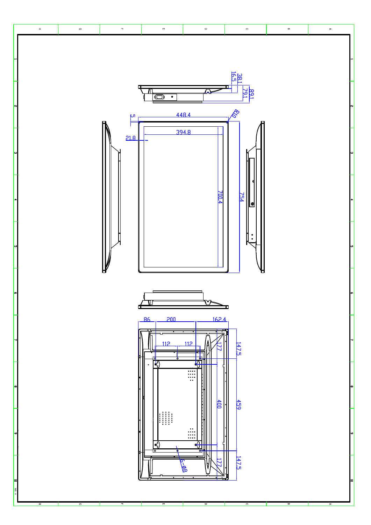